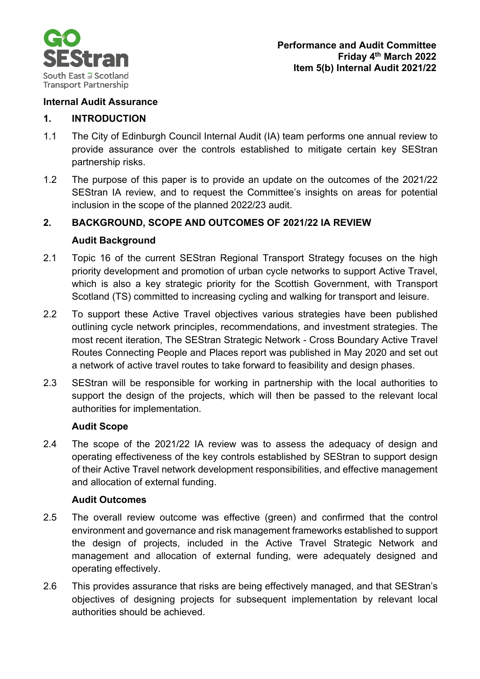

#### **Internal Audit Assurance**

#### **1. INTRODUCTION**

- 1.1 The City of Edinburgh Council Internal Audit (IA) team performs one annual review to provide assurance over the controls established to mitigate certain key SEStran partnership risks.
- 1.2 The purpose of this paper is to provide an update on the outcomes of the 2021/22 SEStran IA review, and to request the Committee's insights on areas for potential inclusion in the scope of the planned 2022/23 audit.

#### **2. BACKGROUND, SCOPE AND OUTCOMES OF 2021/22 IA REVIEW**

#### **Audit Background**

- 2.1 Topic 16 of the current SEStran Regional Transport Strategy focuses on the high priority development and promotion of urban cycle networks to support Active Travel, which is also a key strategic priority for the Scottish Government, with Transport Scotland (TS) committed to increasing cycling and walking for transport and leisure.
- 2.2 To support these Active Travel objectives various strategies have been published outlining cycle network principles, recommendations, and investment strategies. The most recent iteration, The SEStran Strategic Network - Cross Boundary Active Travel Routes Connecting People and Places report was published in May 2020 and set out a network of active travel routes to take forward to feasibility and design phases.
- 2.3 SEStran will be responsible for working in partnership with the local authorities to support the design of the projects, which will then be passed to the relevant local authorities for implementation.

#### **Audit Scope**

2.4 The scope of the 2021/22 IA review was to assess the adequacy of design and operating effectiveness of the key controls established by SEStran to support design of their Active Travel network development responsibilities, and effective management and allocation of external funding.

#### **Audit Outcomes**

- 2.5 The overall review outcome was effective (green) and confirmed that the control environment and governance and risk management frameworks established to support the design of projects, included in the Active Travel Strategic Network and management and allocation of external funding, were adequately designed and operating effectively.
- 2.6 This provides assurance that risks are being effectively managed, and that SEStran's objectives of designing projects for subsequent implementation by relevant local authorities should be achieved.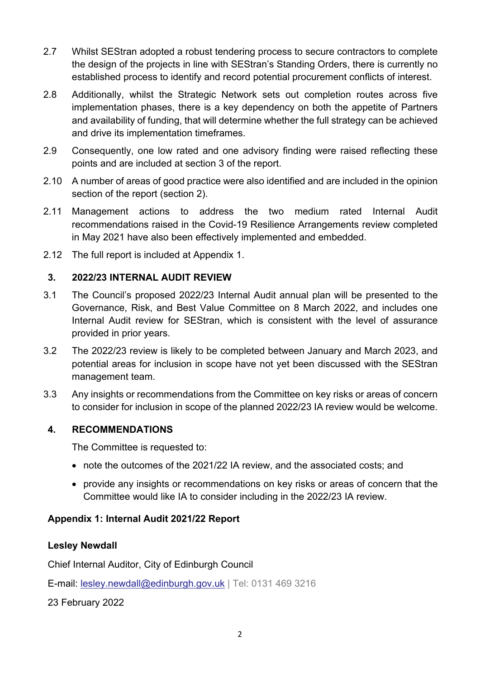- 2.7 Whilst SEStran adopted a robust tendering process to secure contractors to complete the design of the projects in line with SEStran's Standing Orders, there is currently no established process to identify and record potential procurement conflicts of interest.
- 2.8 Additionally, whilst the Strategic Network sets out completion routes across five implementation phases, there is a key dependency on both the appetite of Partners and availability of funding, that will determine whether the full strategy can be achieved and drive its implementation timeframes.
- 2.9 Consequently, one low rated and one advisory finding were raised reflecting these points and are included at section 3 of the report.
- 2.10 A number of areas of good practice were also identified and are included in the opinion section of the report (section 2).
- 2.11 Management actions to address the two medium rated Internal Audit recommendations raised in the Covid-19 Resilience Arrangements review completed in May 2021 have also been effectively implemented and embedded.
- 2.12 The full report is included at Appendix 1.

#### **3. 2022/23 INTERNAL AUDIT REVIEW**

- 3.1 The Council's proposed 2022/23 Internal Audit annual plan will be presented to the Governance, Risk, and Best Value Committee on 8 March 2022, and includes one Internal Audit review for SEStran, which is consistent with the level of assurance provided in prior years.
- 3.2 The 2022/23 review is likely to be completed between January and March 2023, and potential areas for inclusion in scope have not yet been discussed with the SEStran management team.
- 3.3 Any insights or recommendations from the Committee on key risks or areas of concern to consider for inclusion in scope of the planned 2022/23 IA review would be welcome.

#### **4. RECOMMENDATIONS**

The Committee is requested to:

- note the outcomes of the 2021/22 IA review, and the associated costs; and
- provide any insights or recommendations on key risks or areas of concern that the Committee would like IA to consider including in the 2022/23 IA review.

#### **Appendix 1: Internal Audit 2021/22 Report**

#### **Lesley Newdall**

Chief Internal Auditor, City of Edinburgh Council

E-mail: [lesley.newdall@edinburgh.gov.uk](mailto:lesley.newdall@edinburgh.gov.uk) | Tel: 0131 469 3216

23 February 2022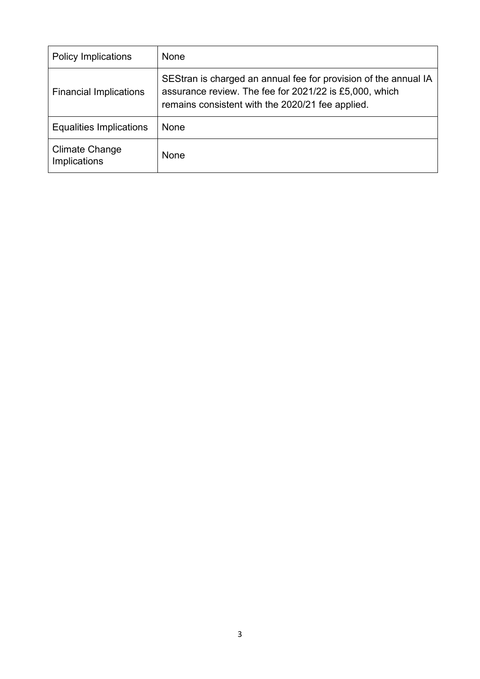| <b>Policy Implications</b>            | None                                                                                                                                                                          |
|---------------------------------------|-------------------------------------------------------------------------------------------------------------------------------------------------------------------------------|
| <b>Financial Implications</b>         | SEStran is charged an annual fee for provision of the annual IA<br>assurance review. The fee for 2021/22 is £5,000, which<br>remains consistent with the 2020/21 fee applied. |
| Equalities Implications               | None                                                                                                                                                                          |
| <b>Climate Change</b><br>Implications | None                                                                                                                                                                          |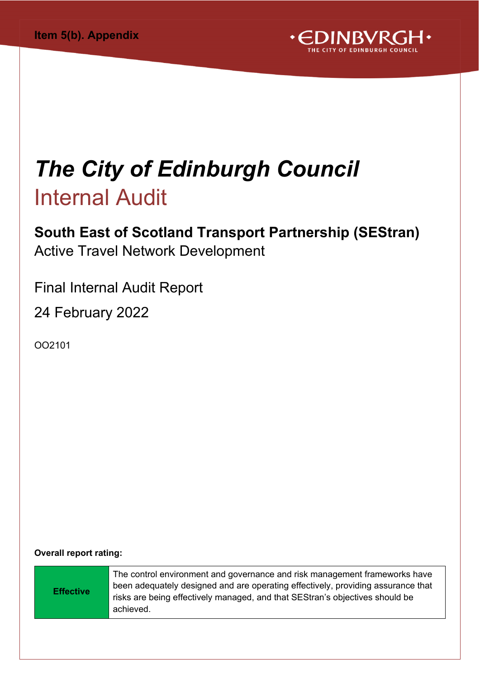

## *The City of Edinburgh Council* Internal Audit

### **South East of Scotland Transport Partnership (SEStran)** Active Travel Network Development

Final Internal Audit Report

24 February 2022

OO2101

**Overall report rating:**

| The control environment and governance and risk management frameworks have<br>been adequately designed and are operating effectively, providing assurance that<br><b>Effective</b><br>risks are being effectively managed, and that SEStran's objectives should be<br>achieved. |
|---------------------------------------------------------------------------------------------------------------------------------------------------------------------------------------------------------------------------------------------------------------------------------|
|---------------------------------------------------------------------------------------------------------------------------------------------------------------------------------------------------------------------------------------------------------------------------------|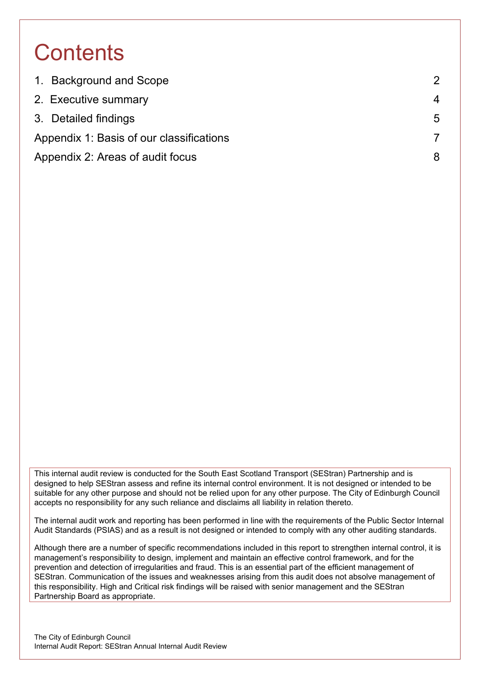### **Contents**

| 1. Background and Scope                  | 2 |
|------------------------------------------|---|
| 2. Executive summary                     | 4 |
| 3. Detailed findings                     | 5 |
| Appendix 1: Basis of our classifications |   |
| Appendix 2: Areas of audit focus         | 8 |

This internal audit review is conducted for the South East Scotland Transport (SEStran) Partnership and is designed to help SEStran assess and refine its internal control environment. It is not designed or intended to be suitable for any other purpose and should not be relied upon for any other purpose. The City of Edinburgh Council accepts no responsibility for any such reliance and disclaims all liability in relation thereto.

The internal audit work and reporting has been performed in line with the requirements of the Public Sector Internal Audit Standards (PSIAS) and as a result is not designed or intended to comply with any other auditing standards.

Although there are a number of specific recommendations included in this report to strengthen internal control, it is management's responsibility to design, implement and maintain an effective control framework, and for the prevention and detection of irregularities and fraud. This is an essential part of the efficient management of SEStran. Communication of the issues and weaknesses arising from this audit does not absolve management of this responsibility. High and Critical risk findings will be raised with senior management and the SEStran Partnership Board as appropriate.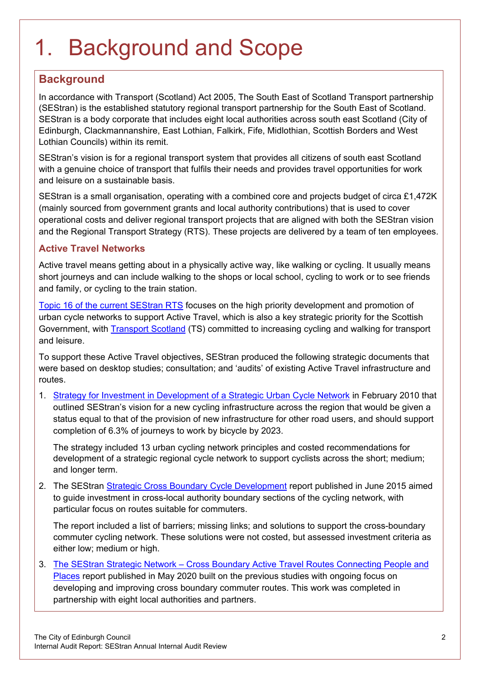## <span id="page-5-0"></span>1. Background and Scope

### **Background**

In accordance with Transport (Scotland) Act 2005, The South East of Scotland Transport partnership (SEStran) is the established statutory regional transport partnership for the South East of Scotland. SEStran is a body corporate that includes eight local authorities across south east Scotland (City of Edinburgh, Clackmannanshire, East Lothian, Falkirk, Fife, Midlothian, Scottish Borders and West Lothian Councils) within its remit.

SEStran's vision is for a regional transport system that provides all citizens of south east Scotland with a genuine choice of transport that fulfils their needs and provides travel opportunities for work and leisure on a sustainable basis.

SEStran is a small organisation, operating with a combined core and projects budget of circa £1,472K (mainly sourced from government grants and local authority contributions) that is used to cover operational costs and deliver regional transport projects that are aligned with both the SEStran vision and the Regional Transport Strategy (RTS). These projects are delivered by a team of ten employees.

#### **Active Travel Networks**

Active travel means getting about in a physically active way, like walking or cycling. It usually means short journeys and can include walking to the shops or local school, cycling to work or to see friends and family, or cycling to the train station.

[Topic 16 of the current SEStran RTS](https://sestran.gov.uk/wp-content/uploads/2017/01/SEStran_Regional_Transport_Strategy_Refresh_2015_as_published.pdf) focuses on the high priority development and promotion of urban cycle networks to support Active Travel, which is also a key strategic priority for the Scottish Government, with **Transport Scotland** (TS) committed to increasing cycling and walking for transport and leisure.

To support these Active Travel objectives, SEStran produced the following strategic documents that were based on desktop studies; consultation; and 'audits' of existing Active Travel infrastructure and routes.

1. [Strategy for Investment in Development of a Strategic Urban Cycle Network](https://sestran.gov.uk/wp-content/uploads/2017/01/SEStran-Cycle-investment-strategy.pdf) in February 2010 that outlined SEStran's vision for a new cycling infrastructure across the region that would be given a status equal to that of the provision of new infrastructure for other road users, and should support completion of 6.3% of journeys to work by bicycle by 2023.

The strategy included 13 urban cycling network principles and costed recommendations for development of a strategic regional cycle network to support cyclists across the short; medium; and longer term.

2. The SEStran [Strategic Cross Boundary Cycle Development](https://sestran.gov.uk/publications/sestran-strategic-cross-boundary-cycle-development-final-report/) report published in June 2015 aimed to guide investment in cross-local authority boundary sections of the cycling network, with particular focus on routes suitable for commuters.

The report included a list of barriers; missing links; and solutions to support the cross-boundary commuter cycling network. These solutions were not costed, but assessed investment criteria as either low; medium or high.

3. The SEStran Strategic Network – [Cross Boundary Active Travel Routes Connecting People and](file:///%5C%5Ccorpad.corp.edinburgh.gov.uk%5Cdepartments%5CFin%5CFinserv%5CInternalAudit%5C21_22%20Administration%5C01%20Templates%5CSEStran%E2%80%99s%20vision%20is%20that%20the%20new%20cycling%20infrastructure%20will%20be%20given%20a%20status%20equal%20to%20that%20of%20the%20provision%20of%20new%20infrastructure%20for%20other%20road%20users,%20with%206.3%25%20of%20journeys%20to%20work%20completed%20by%20bicycle%20by%202023.)  [Places](file:///%5C%5Ccorpad.corp.edinburgh.gov.uk%5Cdepartments%5CFin%5CFinserv%5CInternalAudit%5C21_22%20Administration%5C01%20Templates%5CSEStran%E2%80%99s%20vision%20is%20that%20the%20new%20cycling%20infrastructure%20will%20be%20given%20a%20status%20equal%20to%20that%20of%20the%20provision%20of%20new%20infrastructure%20for%20other%20road%20users,%20with%206.3%25%20of%20journeys%20to%20work%20completed%20by%20bicycle%20by%202023.) report published in May 2020 built on the previous studies with ongoing focus on developing and improving cross boundary commuter routes. This work was completed in partnership with eight local authorities and partners.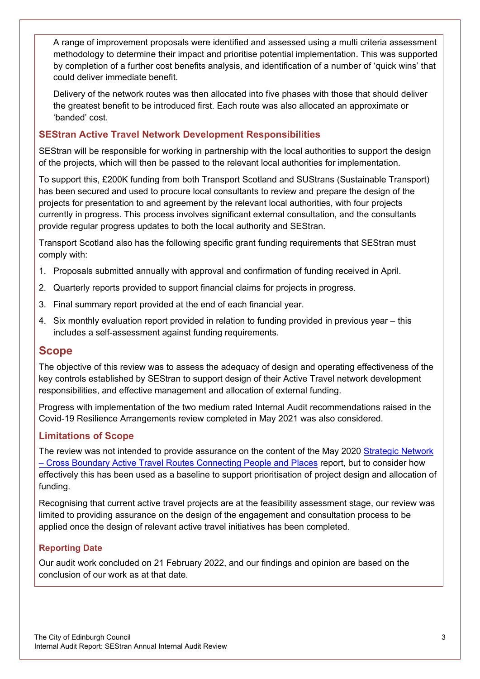A range of improvement proposals were identified and assessed using a multi criteria assessment methodology to determine their impact and prioritise potential implementation. This was supported by completion of a further cost benefits analysis, and identification of a number of 'quick wins' that could deliver immediate benefit.

Delivery of the network routes was then allocated into five phases with those that should deliver the greatest benefit to be introduced first. Each route was also allocated an approximate or 'banded' cost.

#### **SEStran Active Travel Network Development Responsibilities**

SEStran will be responsible for working in partnership with the local authorities to support the design of the projects, which will then be passed to the relevant local authorities for implementation.

To support this, £200K funding from both Transport Scotland and SUStrans (Sustainable Transport) has been secured and used to procure local consultants to review and prepare the design of the projects for presentation to and agreement by the relevant local authorities, with four projects currently in progress. This process involves significant external consultation, and the consultants provide regular progress updates to both the local authority and SEStran.

Transport Scotland also has the following specific grant funding requirements that SEStran must comply with:

- 1. Proposals submitted annually with approval and confirmation of funding received in April.
- 2. Quarterly reports provided to support financial claims for projects in progress.
- 3. Final summary report provided at the end of each financial year.
- 4. Six monthly evaluation report provided in relation to funding provided in previous year this includes a self-assessment against funding requirements.

#### **Scope**

The objective of this review was to assess the adequacy of design and operating effectiveness of the key controls established by SEStran to support design of their Active Travel network development responsibilities, and effective management and allocation of external funding.

Progress with implementation of the two medium rated Internal Audit recommendations raised in the Covid-19 Resilience Arrangements review completed in May 2021 was also considered.

#### **Limitations of Scope**

The review was not intended to provide assurance on the content of the May 2020 Strategic Network – [Cross Boundary Active Travel Routes Connecting People and Places](file:///%5C%5Ccorpad.corp.edinburgh.gov.uk%5Cdepartments%5CFin%5CFinserv%5CInternalAudit%5C21_22%20Administration%5C01%20Templates%5CSEStran%E2%80%99s%20vision%20is%20that%20the%20new%20cycling%20infrastructure%20will%20be%20given%20a%20status%20equal%20to%20that%20of%20the%20provision%20of%20new%20infrastructure%20for%20other%20road%20users,%20with%206.3%25%20of%20journeys%20to%20work%20completed%20by%20bicycle%20by%202023.) report, but to consider how effectively this has been used as a baseline to support prioritisation of project design and allocation of funding.

Recognising that current active travel projects are at the feasibility assessment stage, our review was limited to providing assurance on the design of the engagement and consultation process to be applied once the design of relevant active travel initiatives has been completed.

#### **Reporting Date**

Our audit work concluded on 21 February 2022, and our findings and opinion are based on the conclusion of our work as at that date.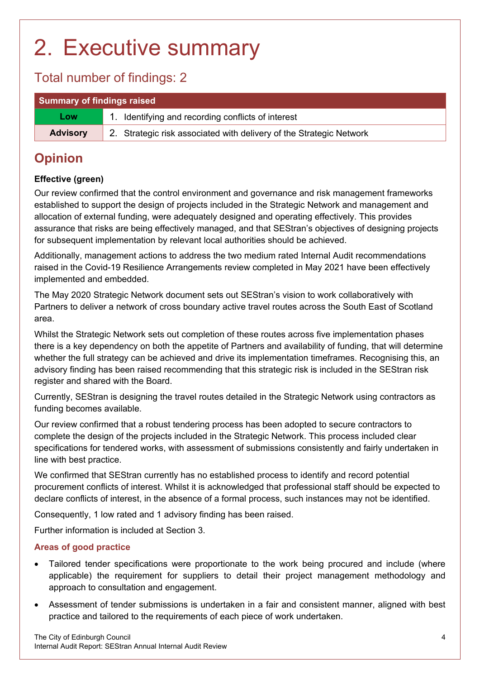## <span id="page-7-0"></span>2. Executive summary

### Total number of findings: 2

| Summary of findings raised |                                                                     |
|----------------------------|---------------------------------------------------------------------|
| <b>Low</b>                 | 1. Identifying and recording conflicts of interest                  |
| <b>Advisory</b>            | 2. Strategic risk associated with delivery of the Strategic Network |

### **Opinion**

#### **Effective (green)**

Our review confirmed that the control environment and governance and risk management frameworks established to support the design of projects included in the Strategic Network and management and allocation of external funding, were adequately designed and operating effectively. This provides assurance that risks are being effectively managed, and that SEStran's objectives of designing projects for subsequent implementation by relevant local authorities should be achieved.

Additionally, management actions to address the two medium rated Internal Audit recommendations raised in the Covid-19 Resilience Arrangements review completed in May 2021 have been effectively implemented and embedded.

The May 2020 Strategic Network document sets out SEStran's vision to work collaboratively with Partners to deliver a network of cross boundary active travel routes across the South East of Scotland area.

Whilst the Strategic Network sets out completion of these routes across five implementation phases there is a key dependency on both the appetite of Partners and availability of funding, that will determine whether the full strategy can be achieved and drive its implementation timeframes. Recognising this, an advisory finding has been raised recommending that this strategic risk is included in the SEStran risk register and shared with the Board.

Currently, SEStran is designing the travel routes detailed in the Strategic Network using contractors as funding becomes available.

Our review confirmed that a robust tendering process has been adopted to secure contractors to complete the design of the projects included in the Strategic Network. This process included clear specifications for tendered works, with assessment of submissions consistently and fairly undertaken in line with best practice.

We confirmed that SEStran currently has no established process to identify and record potential procurement conflicts of interest. Whilst it is acknowledged that professional staff should be expected to declare conflicts of interest, in the absence of a formal process, such instances may not be identified.

Consequently, 1 low rated and 1 advisory finding has been raised.

Further information is included at Section 3.

#### **Areas of good practice**

- Tailored tender specifications were proportionate to the work being procured and include (where applicable) the requirement for suppliers to detail their project management methodology and approach to consultation and engagement.
- Assessment of tender submissions is undertaken in a fair and consistent manner, aligned with best practice and tailored to the requirements of each piece of work undertaken.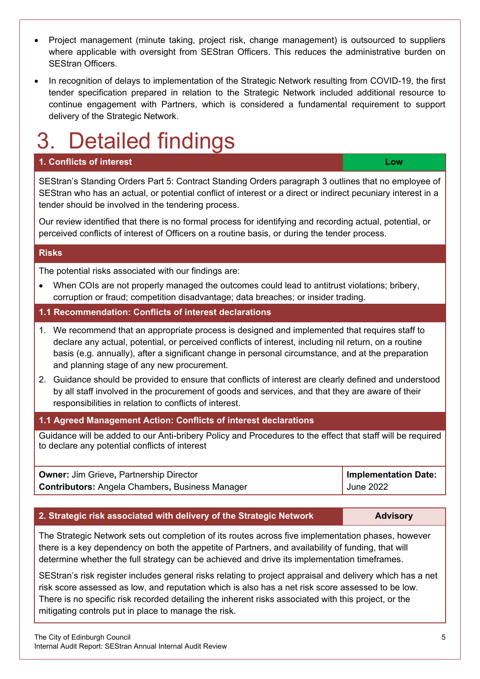- Project management (minute taking, project risk, change management) is outsourced to suppliers where applicable with oversight from SEStran Officers. This reduces the administrative burden on SEStran Officers.
- In recognition of delays to implementation of the Strategic Network resulting from COVID-19, the first tender specification prepared in relation to the Strategic Network included additional resource to continue engagement with Partners, which is considered a fundamental requirement to support delivery of the Strategic Network.

## <span id="page-8-0"></span>Detailed findings

#### **1. Conflicts of interest Low**

SEStran's Standing Orders Part 5: Contract Standing Orders paragraph 3 outlines that no employee of SEStran who has an actual, or potential conflict of interest or a direct or indirect pecuniary interest in a tender should be involved in the tendering process.

Our review identified that there is no formal process for identifying and recording actual, potential, or perceived conflicts of interest of Officers on a routine basis, or during the tender process.

#### **Risks**

The potential risks associated with our findings are:

• When COIs are not properly managed the outcomes could lead to antitrust violations; bribery, corruption or fraud; competition disadvantage; data breaches; or insider trading.

#### **1.1 Recommendation: Conflicts of interest declarations**

- 1. We recommend that an appropriate process is designed and implemented that requires staff to declare any actual, potential, or perceived conflicts of interest, including nil return, on a routine basis (e.g. annually), after a significant change in personal circumstance, and at the preparation and planning stage of any new procurement.
- 2. Guidance should be provided to ensure that conflicts of interest are clearly defined and understood by all staff involved in the procurement of goods and services, and that they are aware of their responsibilities in relation to conflicts of interest.

#### **1.1 Agreed Management Action: Conflicts of interest declarations**

Guidance will be added to our Anti-bribery Policy and Procedures to the effect that staff will be required to declare any potential conflicts of interest

| <b>Owner: Jim Grieve, Partnership Director</b>         | Implementation Date: |
|--------------------------------------------------------|----------------------|
| <b>Contributors: Angela Chambers, Business Manager</b> | <b>June 2022</b>     |

#### **2. Strategic risk associated with delivery of the Strategic Network <b>Advisory**

The Strategic Network sets out completion of its routes across five implementation phases, however there is a key dependency on both the appetite of Partners, and availability of funding, that will determine whether the full strategy can be achieved and drive its implementation timeframes.

SEStran's risk register includes general risks relating to project appraisal and delivery which has a net risk score assessed as low, and reputation which is also has a net risk score assessed to be low. There is no specific risk recorded detailing the inherent risks associated with this project, or the mitigating controls put in place to manage the risk.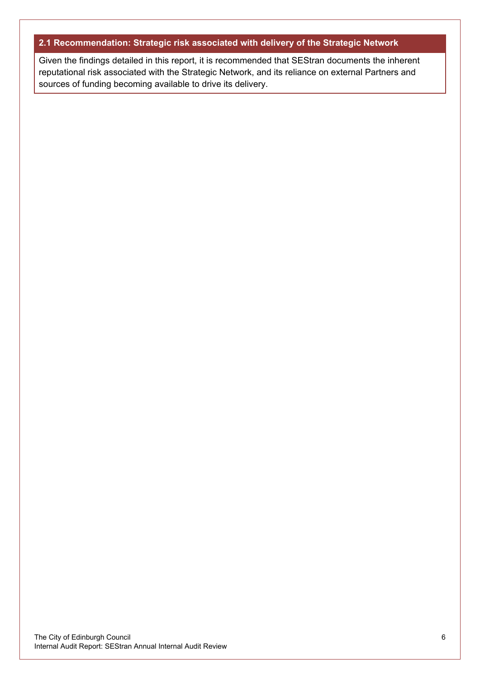#### **2.1 Recommendation: Strategic risk associated with delivery of the Strategic Network**

Given the findings detailed in this report, it is recommended that SEStran documents the inherent reputational risk associated with the Strategic Network, and its reliance on external Partners and sources of funding becoming available to drive its delivery.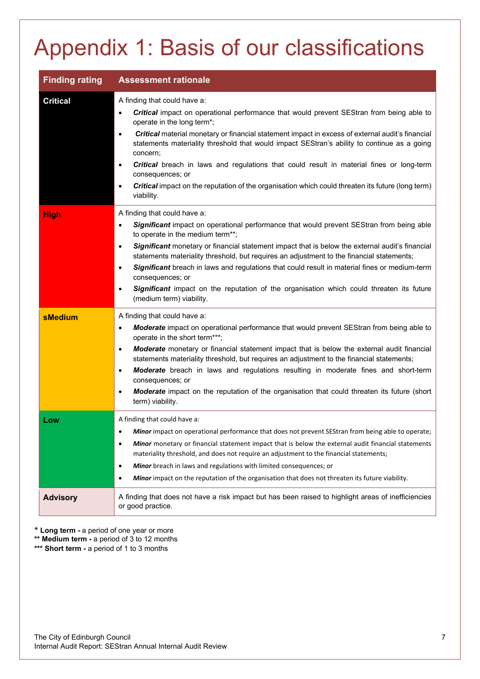## <span id="page-10-0"></span>Appendix 1: Basis of our classifications

| <b>Finding rating</b> | <b>Assessment rationale</b>                                                                                                                                                                                                                                                                                                                                                                                                                                                                                                                                                                                                                                   |
|-----------------------|---------------------------------------------------------------------------------------------------------------------------------------------------------------------------------------------------------------------------------------------------------------------------------------------------------------------------------------------------------------------------------------------------------------------------------------------------------------------------------------------------------------------------------------------------------------------------------------------------------------------------------------------------------------|
| <b>Critical</b>       | A finding that could have a:<br><b>Critical</b> impact on operational performance that would prevent SEStran from being able to<br>operate in the long term*;<br>Critical material monetary or financial statement impact in excess of external audit's financial<br>$\bullet$<br>statements materiality threshold that would impact SEStran's ability to continue as a going<br>concern;<br><b>Critical</b> breach in laws and regulations that could result in material fines or long-term<br>٠<br>consequences; or<br>Critical impact on the reputation of the organisation which could threaten its future (long term)<br>$\bullet$<br>viability.         |
| <b>High</b>           | A finding that could have a:<br>Significant impact on operational performance that would prevent SEStran from being able<br>$\bullet$<br>to operate in the medium term**;<br>Significant monetary or financial statement impact that is below the external audit's financial<br>$\bullet$<br>statements materiality threshold, but requires an adjustment to the financial statements;<br>Significant breach in laws and regulations that could result in material fines or medium-term<br>$\bullet$<br>consequences; or<br>Significant impact on the reputation of the organisation which could threaten its future<br>$\bullet$<br>(medium term) viability. |
| <b>sMedium</b>        | A finding that could have a:<br>Moderate impact on operational performance that would prevent SEStran from being able to<br>$\bullet$<br>operate in the short term***;<br>Moderate monetary or financial statement impact that is below the external audit financial<br>$\bullet$<br>statements materiality threshold, but requires an adjustment to the financial statements;<br>Moderate breach in laws and regulations resulting in moderate fines and short-term<br>$\bullet$<br>consequences; or<br><b>Moderate</b> impact on the reputation of the organisation that could threaten its future (short<br>$\bullet$<br>term) viability.                  |
| Low                   | A finding that could have a:<br>Minor impact on operational performance that does not prevent SEStran from being able to operate;<br>Minor monetary or financial statement impact that is below the external audit financial statements<br>$\bullet$<br>materiality threshold, and does not require an adjustment to the financial statements;<br>Minor breach in laws and regulations with limited consequences; or<br>$\bullet$<br>Minor impact on the reputation of the organisation that does not threaten its future viability.<br>٠                                                                                                                     |
| <b>Advisory</b>       | A finding that does not have a risk impact but has been raised to highlight areas of inefficiencies<br>or good practice.                                                                                                                                                                                                                                                                                                                                                                                                                                                                                                                                      |

**\* Long term -** a period of one year or more

**\*\* Medium term -** a period of 3 to 12 months

\*\*\* **Short term -** a period of 1 to 3 months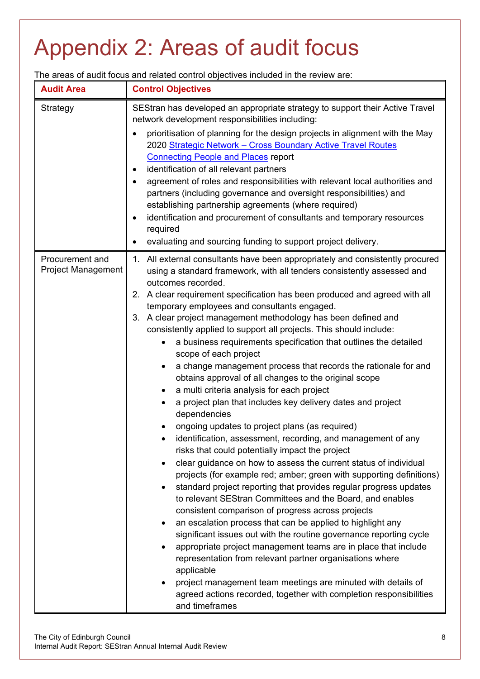# <span id="page-11-0"></span>Appendix 2: Areas of audit focus

The areas of audit focus and related control objectives included in the review are:

| <b>Audit Area</b>  | <b>Control Objectives</b>                                                                                                                                                                                                                                                                                                                                                                                                                                                                                                                                                                                                                                                                                                                                                                                                                                                                                                                                                                                                                                                                                                                                                                                                                                                                                                                                                                                                                                                                                                                                                                                                                                                                                                                                                       |
|--------------------|---------------------------------------------------------------------------------------------------------------------------------------------------------------------------------------------------------------------------------------------------------------------------------------------------------------------------------------------------------------------------------------------------------------------------------------------------------------------------------------------------------------------------------------------------------------------------------------------------------------------------------------------------------------------------------------------------------------------------------------------------------------------------------------------------------------------------------------------------------------------------------------------------------------------------------------------------------------------------------------------------------------------------------------------------------------------------------------------------------------------------------------------------------------------------------------------------------------------------------------------------------------------------------------------------------------------------------------------------------------------------------------------------------------------------------------------------------------------------------------------------------------------------------------------------------------------------------------------------------------------------------------------------------------------------------------------------------------------------------------------------------------------------------|
| Strategy           | SEStran has developed an appropriate strategy to support their Active Travel<br>network development responsibilities including:<br>prioritisation of planning for the design projects in alignment with the May<br>2020 Strategic Network - Cross Boundary Active Travel Routes<br><b>Connecting People and Places report</b><br>identification of all relevant partners<br>$\bullet$                                                                                                                                                                                                                                                                                                                                                                                                                                                                                                                                                                                                                                                                                                                                                                                                                                                                                                                                                                                                                                                                                                                                                                                                                                                                                                                                                                                           |
|                    | agreement of roles and responsibilities with relevant local authorities and<br>$\bullet$<br>partners (including governance and oversight responsibilities) and<br>establishing partnership agreements (where required)<br>identification and procurement of consultants and temporary resources<br>$\bullet$<br>required<br>evaluating and sourcing funding to support project delivery.<br>٠                                                                                                                                                                                                                                                                                                                                                                                                                                                                                                                                                                                                                                                                                                                                                                                                                                                                                                                                                                                                                                                                                                                                                                                                                                                                                                                                                                                   |
| Procurement and    | 1. All external consultants have been appropriately and consistently procured                                                                                                                                                                                                                                                                                                                                                                                                                                                                                                                                                                                                                                                                                                                                                                                                                                                                                                                                                                                                                                                                                                                                                                                                                                                                                                                                                                                                                                                                                                                                                                                                                                                                                                   |
| Project Management | using a standard framework, with all tenders consistently assessed and<br>outcomes recorded.<br>2. A clear requirement specification has been produced and agreed with all<br>temporary employees and consultants engaged.<br>3. A clear project management methodology has been defined and<br>consistently applied to support all projects. This should include:<br>a business requirements specification that outlines the detailed<br>$\bullet$<br>scope of each project<br>a change management process that records the rationale for and<br>$\bullet$<br>obtains approval of all changes to the original scope<br>a multi criteria analysis for each project<br>$\bullet$<br>a project plan that includes key delivery dates and project<br>$\bullet$<br>dependencies<br>ongoing updates to project plans (as required)<br>identification, assessment, recording, and management of any<br>risks that could potentially impact the project<br>clear guidance on how to assess the current status of individual<br>$\bullet$<br>projects (for example red; amber; green with supporting definitions)<br>standard project reporting that provides regular progress updates<br>$\bullet$<br>to relevant SEStran Committees and the Board, and enables<br>consistent comparison of progress across projects<br>an escalation process that can be applied to highlight any<br>$\bullet$<br>significant issues out with the routine governance reporting cycle<br>appropriate project management teams are in place that include<br>$\bullet$<br>representation from relevant partner organisations where<br>applicable<br>project management team meetings are minuted with details of<br>agreed actions recorded, together with completion responsibilities<br>and timeframes |